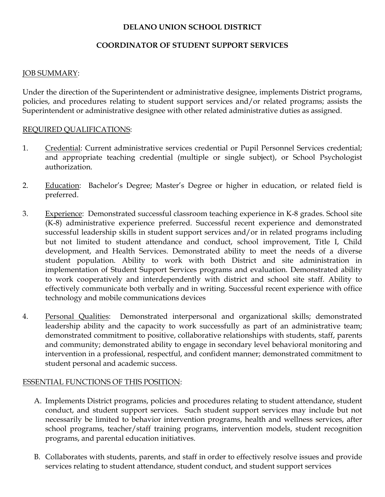## DELANO UNION SCHOOL DISTRICT

### COORDINATOR OF STUDENT SUPPORT SERVICES

#### JOB SUMMARY:

Under the direction of the Superintendent or administrative designee, implements District programs, policies, and procedures relating to student support services and/or related programs; assists the Superintendent or administrative designee with other related administrative duties as assigned.

#### REQUIRED QUALIFICATIONS:

- 1. Credential: Current administrative services credential or Pupil Personnel Services credential; and appropriate teaching credential (multiple or single subject), or School Psychologist authorization.
- 2. Education: Bachelor's Degree; Master's Degree or higher in education, or related field is preferred.
- 3. Experience: Demonstrated successful classroom teaching experience in K-8 grades. School site (K-8) administrative experience preferred. Successful recent experience and demonstrated successful leadership skills in student support services and/or in related programs including but not limited to student attendance and conduct, school improvement, Title I, Child development, and Health Services. Demonstrated ability to meet the needs of a diverse student population. Ability to work with both District and site administration in implementation of Student Support Services programs and evaluation. Demonstrated ability to work cooperatively and interdependently with district and school site staff. Ability to effectively communicate both verbally and in writing. Successful recent experience with office technology and mobile communications devices
- 4. Personal Qualities: Demonstrated interpersonal and organizational skills; demonstrated leadership ability and the capacity to work successfully as part of an administrative team; demonstrated commitment to positive, collaborative relationships with students, staff, parents and community; demonstrated ability to engage in secondary level behavioral monitoring and intervention in a professional, respectful, and confident manner; demonstrated commitment to student personal and academic success.

#### ESSENTIAL FUNCTIONS OF THIS POSITION:

- A. Implements District programs, policies and procedures relating to student attendance, student conduct, and student support services. Such student support services may include but not necessarily be limited to behavior intervention programs, health and wellness services, after school programs, teacher/staff training programs, intervention models, student recognition programs, and parental education initiatives.
- B. Collaborates with students, parents, and staff in order to effectively resolve issues and provide services relating to student attendance, student conduct, and student support services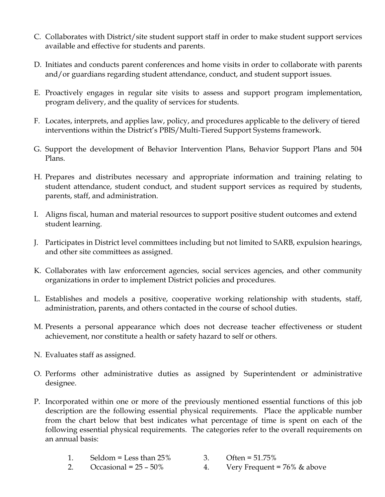- C. Collaborates with District/site student support staff in order to make student support services available and effective for students and parents.
- D. Initiates and conducts parent conferences and home visits in order to collaborate with parents and/or guardians regarding student attendance, conduct, and student support issues.
- E. Proactively engages in regular site visits to assess and support program implementation, program delivery, and the quality of services for students.
- F. Locates, interprets, and applies law, policy, and procedures applicable to the delivery of tiered interventions within the District's PBIS/Multi-Tiered Support Systems framework.
- G. Support the development of Behavior Intervention Plans, Behavior Support Plans and 504 Plans.
- H. Prepares and distributes necessary and appropriate information and training relating to student attendance, student conduct, and student support services as required by students, parents, staff, and administration.
- I. Aligns fiscal, human and material resources to support positive student outcomes and extend student learning.
- J. Participates in District level committees including but not limited to SARB, expulsion hearings, and other site committees as assigned.
- K. Collaborates with law enforcement agencies, social services agencies, and other community organizations in order to implement District policies and procedures.
- L. Establishes and models a positive, cooperative working relationship with students, staff, administration, parents, and others contacted in the course of school duties.
- M. Presents a personal appearance which does not decrease teacher effectiveness or student achievement, nor constitute a health or safety hazard to self or others.
- N. Evaluates staff as assigned.
- O. Performs other administrative duties as assigned by Superintendent or administrative designee.
- P. Incorporated within one or more of the previously mentioned essential functions of this job description are the following essential physical requirements. Place the applicable number from the chart below that best indicates what percentage of time is spent on each of the following essential physical requirements. The categories refer to the overall requirements on an annual basis:
	- 1. Seldom = Less than 25% 3. Often = 51.75%
	- 2. Occasional =  $25 50\%$  4. Very Frequent =  $76\%$  & above